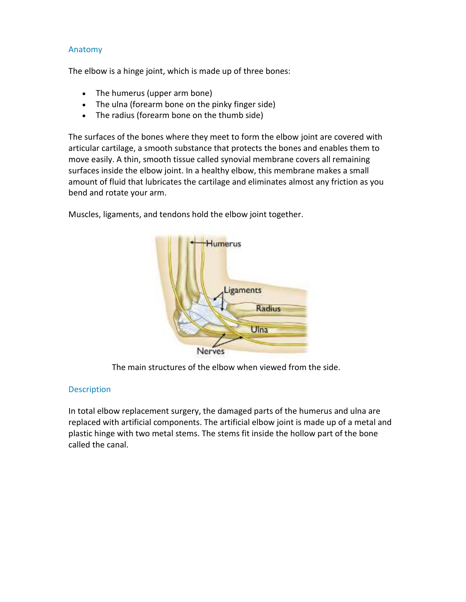# Anatomy

The elbow is a hinge joint, which is made up of three bones:

- The humerus (upper arm bone)
- The ulna (forearm bone on the pinky finger side)
- The radius (forearm bone on the thumb side)

The surfaces of the bones where they meet to form the elbow joint are covered with articular cartilage, a smooth substance that protects the bones and enables them to move easily. A thin, smooth tissue called synovial membrane covers all remaining surfaces inside the elbow joint. In a healthy elbow, this membrane makes a small amount of fluid that lubricates the cartilage and eliminates almost any friction as you bend and rotate your arm.

Muscles, ligaments, and tendons hold the elbow joint together.



The main structures of the elbow when viewed from the side.

## **Description**

In total elbow replacement surgery, the damaged parts of the humerus and ulna are replaced with artificial components. The artificial elbow joint is made up of a metal and plastic hinge with two metal stems. The stems fit inside the hollow part of the bone called the canal.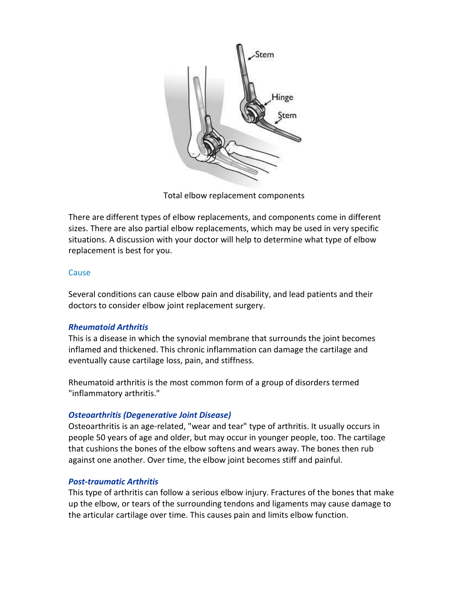

Total elbow replacement components

There are different types of elbow replacements, and components come in different sizes. There are also partial elbow replacements, which may be used in very specific situations. A discussion with your doctor will help to determine what type of elbow replacement is best for you.

## **Cause**

Several conditions can cause elbow pain and disability, and lead patients and their doctors to consider elbow joint replacement surgery.

## *Rheumatoid Arthritis*

This is a disease in which the synovial membrane that surrounds the joint becomes inflamed and thickened. This chronic inflammation can damage the cartilage and eventually cause cartilage loss, pain, and stiffness.

Rheumatoid arthritis is the most common form of a group of disorders termed "inflammatory arthritis."

## *Osteoarthritis (Degenerative Joint Disease)*

Osteoarthritis is an age-related, "wear and tear" type of arthritis. It usually occurs in people 50 years of age and older, but may occur in younger people, too. The cartilage that cushions the bones of the elbow softens and wears away. The bones then rub against one another. Over time, the elbow joint becomes stiff and painful.

## *Post-traumatic Arthritis*

This type of arthritis can follow a serious elbow injury. Fractures of the bones that make up the elbow, or tears of the surrounding tendons and ligaments may cause damage to the articular cartilage over time. This causes pain and limits elbow function.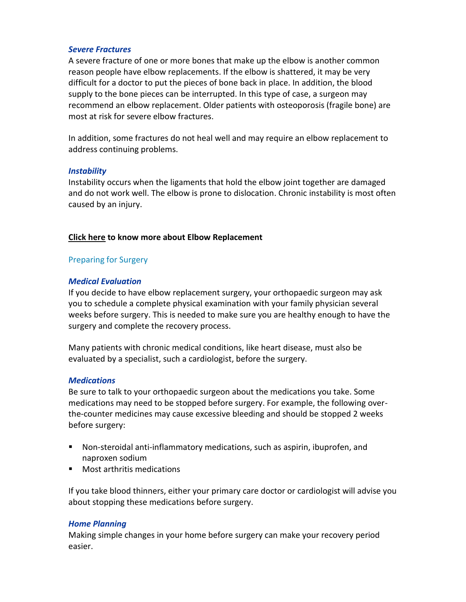### *Severe Fractures*

A severe fracture of one or more bones that make up the elbow is another common reason people have elbow replacements. If the elbow is shattered, it may be very difficult for a doctor to put the pieces of bone back in place. In addition, the blood supply to the bone pieces can be interrupted. In this type of case, a surgeon may recommend an elbow replacement. Older patients with osteoporosis (fragile bone) are most at risk for severe elbow fractures.

In addition, some fractures do not heal well and may require an elbow replacement to address continuing problems.

### *Instability*

Instability occurs when the ligaments that hold the elbow joint together are damaged and do not work well. The elbow is prone to dislocation. Chronic instability is most often caused by an injury.

## **Click here to know more about Elbow Replacement**

## Preparing for Surgery

#### *Medical Evaluation*

If you decide to have elbow replacement surgery, your orthopaedic surgeon may ask you to schedule a complete physical examination with your family physician several weeks before surgery. This is needed to make sure you are healthy enough to have the surgery and complete the recovery process.

Many patients with chronic medical conditions, like heart disease, must also be evaluated by a specialist, such a cardiologist, before the surgery.

#### *Medications*

Be sure to talk to your orthopaedic surgeon about the medications you take. Some medications may need to be stopped before surgery. For example, the following overthe-counter medicines may cause excessive bleeding and should be stopped 2 weeks before surgery:

- Non-steroidal anti-inflammatory medications, such as aspirin, ibuprofen, and naproxen sodium
- Most arthritis medications

If you take blood thinners, either your primary care doctor or cardiologist will advise you about stopping these medications before surgery.

#### *Home Planning*

Making simple changes in your home before surgery can make your recovery period easier.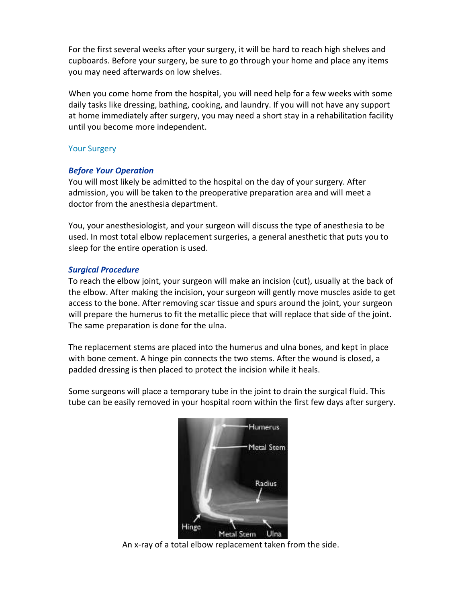For the first several weeks after your surgery, it will be hard to reach high shelves and cupboards. Before your surgery, be sure to go through your home and place any items you may need afterwards on low shelves.

When you come home from the hospital, you will need help for a few weeks with some daily tasks like dressing, bathing, cooking, and laundry. If you will not have any support at home immediately after surgery, you may need a short stay in a rehabilitation facility until you become more independent.

# Your Surgery

# *Before Your Operation*

You will most likely be admitted to the hospital on the day of your surgery. After admission, you will be taken to the preoperative preparation area and will meet a doctor from the anesthesia department.

You, your anesthesiologist, and your surgeon will discuss the type of anesthesia to be used. In most total elbow replacement surgeries, a general anesthetic that puts you to sleep for the entire operation is used.

# *Surgical Procedure*

To reach the elbow joint, your surgeon will make an incision (cut), usually at the back of the elbow. After making the incision, your surgeon will gently move muscles aside to get access to the bone. After removing scar tissue and spurs around the joint, your surgeon will prepare the humerus to fit the metallic piece that will replace that side of the joint. The same preparation is done for the ulna.

The replacement stems are placed into the humerus and ulna bones, and kept in place with bone cement. A hinge pin connects the two stems. After the wound is closed, a padded dressing is then placed to protect the incision while it heals.

Some surgeons will place a temporary tube in the joint to drain the surgical fluid. This tube can be easily removed in your hospital room within the first few days after surgery.



An x-ray of a total elbow replacement taken from the side.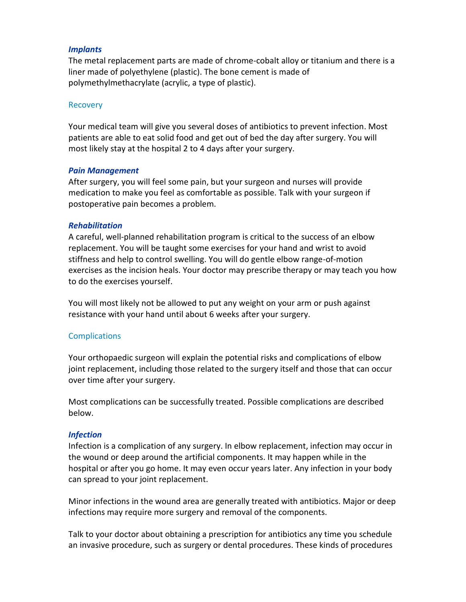## *Implants*

The metal replacement parts are made of chrome-cobalt alloy or titanium and there is a liner made of polyethylene (plastic). The bone cement is made of polymethylmethacrylate (acrylic, a type of plastic).

#### Recovery

Your medical team will give you several doses of antibiotics to prevent infection. Most patients are able to eat solid food and get out of bed the day after surgery. You will most likely stay at the hospital 2 to 4 days after your surgery.

#### *Pain Management*

After surgery, you will feel some pain, but your surgeon and nurses will provide medication to make you feel as comfortable as possible. Talk with your surgeon if postoperative pain becomes a problem.

### *Rehabilitation*

A careful, well-planned rehabilitation program is critical to the success of an elbow replacement. You will be taught some exercises for your hand and wrist to avoid stiffness and help to control swelling. You will do gentle elbow range-of-motion exercises as the incision heals. Your doctor may prescribe therapy or may teach you how to do the exercises yourself.

You will most likely not be allowed to put any weight on your arm or push against resistance with your hand until about 6 weeks after your surgery.

## **Complications**

Your orthopaedic surgeon will explain the potential risks and complications of elbow joint replacement, including those related to the surgery itself and those that can occur over time after your surgery.

Most complications can be successfully treated. Possible complications are described below.

#### *Infection*

Infection is a complication of any surgery. In elbow replacement, infection may occur in the wound or deep around the artificial components. It may happen while in the hospital or after you go home. It may even occur years later. Any infection in your body can spread to your joint replacement.

Minor infections in the wound area are generally treated with antibiotics. Major or deep infections may require more surgery and removal of the components.

Talk to your doctor about obtaining a prescription for antibiotics any time you schedule an invasive procedure, such as surgery or dental procedures. These kinds of procedures